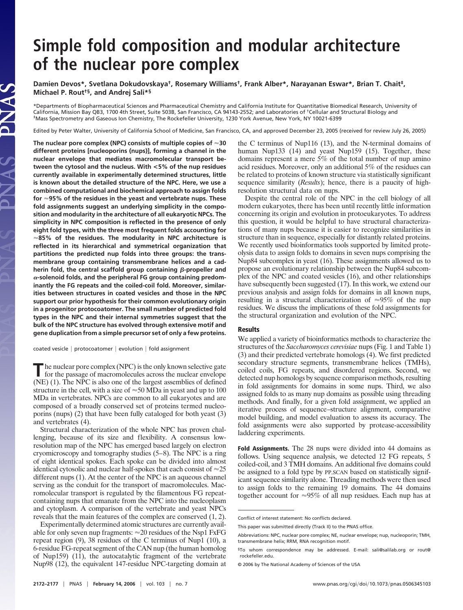# **Simple fold composition and modular architecture of the nuclear pore complex**

**Damien Devos\*, Svetlana Dokudovskaya†, Rosemary Williams†, Frank Alber\*, Narayanan Eswar\*, Brian T. Chait‡, Michael P. Rout†§, and Andrej Sali\*§**

\*Departments of Biopharmaceutical Sciences and Pharmaceutical Chemistry and California Institute for Quantitative Biomedical Research, University of California, Mission Bay QB3, 1700 4th Street, Suite 503B, San Francisco, CA 94143-2552; and Laboratories of †Cellular and Structural Biology and ‡Mass Spectrometry and Gaseous Ion Chemistry, The Rockefeller University, 1230 York Avenue, New York, NY 10021-6399

Edited by Peter Walter, University of California School of Medicine, San Francisco, CA, and approved December 23, 2005 (received for review July 26, 2005)

**The nuclear pore complex (NPC) consists of multiple copies of 30 different proteins [nucleoporins (nups)], forming a channel in the nuclear envelope that mediates macromolecular transport between the cytosol and the nucleus. With <5% of the nup residues currently available in experimentally determined structures, little is known about the detailed structure of the NPC. Here, we use a combined computational and biochemical approach to assign folds for 95% of the residues in the yeast and vertebrate nups. These fold assignments suggest an underlying simplicity in the composition and modularity in the architecture of all eukaryotic NPCs. The simplicity in NPC composition is reflected in the presence of only eight fold types, with the three most frequent folds accounting for 85% of the residues. The modularity in NPC architecture is reflected in its hierarchical and symmetrical organization that partitions the predicted nup folds into three groups: the transmembrane group containing transmembrane helices and a cad**herin fold, the central scaffold group containing  $\beta$ -propeller and  $\alpha$ -solenoid folds, and the peripheral FG group containing predom**inantly the FG repeats and the coiled-coil fold. Moreover, similarities between structures in coated vesicles and those in the NPC support our prior hypothesis for their common evolutionary origin in a progenitor protocoatomer. The small number of predicted fold types in the NPC and their internal symmetries suggest that the bulk of the NPC structure has evolved through extensive motif and gene duplication from a simple precursor set of only a few proteins.**

JAS

coated vesicle | protocoatomer | evolution | fold assignment

**T**he nuclear pore complex (NPC) is the only known selective gate for the passage of macromolecules across the nuclear envelope (NE) (1). The NPC is also one of the largest assemblies of defined structure in the cell, with a size of  $\approx 50$  MDa in yeast and up to 100 MDa in vertebrates. NPCs are common to all eukaryotes and are composed of a broadly conserved set of proteins termed nucleoporins (nups) (2) that have been fully cataloged for both yeast (3) and vertebrates (4).

Structural characterization of the whole NPC has proven challenging, because of its size and flexibility. A consensus lowresolution map of the NPC has emerged based largely on electron cryomicroscopy and tomography studies (5–8). The NPC is a ring of eight identical spokes. Each spoke can be divided into almost identical cytosolic and nuclear half-spokes that each consist of  $\approx$ 25 different nups (1). At the center of the NPC is an aqueous channel serving as the conduit for the transport of macromolecules. Macromolecular transport is regulated by the filamentous FG repeatcontaining nups that emanate from the NPC into the nucleoplasm and cytoplasm. A comparison of the vertebrate and yeast NPCs reveals that the main features of the complex are conserved (1, 2).

Experimentally determined atomic structures are currently available for only seven nup fragments:  $\approx$  20 residues of the Nsp1 FxFG repeat region (9), 38 residues of the C terminus of Nup1 (10), a 6-residue FG-repeat segment of the CAN nup (the human homolog of Nup159) (11), the autocatalytic fragment of the vertebrate Nup98 (12), the equivalent 147-residue NPC-targeting domain at the C terminus of Nup116 (13), and the N-terminal domains of human Nup133 (14) and yeast Nup159 (15). Together, these domains represent a mere 5% of the total number of nup amino acid residues. Moreover, only an additional 5% of the residues can be related to proteins of known structure via statistically significant sequence similarity (*Results*); hence, there is a paucity of highresolution structural data on nups.

Despite the central role of the NPC in the cell biology of all modern eukaryotes, there has been until recently little information concerning its origin and evolution in protoeukaryotes. To address this question, it would be helpful to have structural characterizations of many nups because it is easier to recognize similarities in structure than in sequence, especially for distantly related proteins. We recently used bioinformatics tools supported by limited proteolysis data to assign folds to domains in seven nups comprising the Nup84 subcomplex in yeast (16). These assignments allowed us to propose an evolutionary relationship between the Nup84 subcomplex of the NPC and coated vesicles (16), and other relationships have subsequently been suggested (17). In this work, we extend our previous analysis and assign folds for domains in all known nups, resulting in a structural characterization of  $\approx 95\%$  of the nup residues. We discuss the implications of these fold assignments for the structural organization and evolution of the NPC.

## **Results**

We applied a variety of bioinformatics methods to characterize the structures of the *Saccharomyces cerevisiae* nups (Fig. 1 and Table 1) (3) and their predicted vertebrate homologs (4). We first predicted secondary structure segments, transmembrane helices (TMHs), coiled coils, FG repeats, and disordered regions. Second, we detected nup homologs by sequence comparison methods, resulting in fold assignments for domains in some nups. Third, we also assigned folds to as many nup domains as possible using threading methods. And finally, for a given fold assignment, we applied an iterative process of sequence–structure alignment, comparative model building, and model evaluation to assess its accuracy. The fold assignments were also supported by protease-accessibility laddering experiments.

**Fold Assignments.** The 28 nups were divided into 44 domains as follows. Using sequence analysis, we detected 12 FG repeats, 5 coiled-coil, and 3 TMH domains. An additional five domains could be assigned to a fold type by PPSCAN based on statistically significant sequence similarity alone. Threading methods were then used to assign folds to the remaining 19 domains. The 44 domains together account for  $\approx 95\%$  of all nup residues. Each nup has at

Conflict of interest statement: No conflicts declared.

This paper was submitted directly (Track II) to the PNAS office.

Abbreviations: NPC, nuclear pore complex; NE, nuclear envelope; nup, nucleoporin; TMH, transmembrane helix; RRM, RNA recognition motif.

<sup>§</sup>To whom correspondence may be addressed. E-mail: sali@salilab.org or rout@ rockefeller.edu.

<sup>© 2006</sup> by The National Academy of Sciences of the USA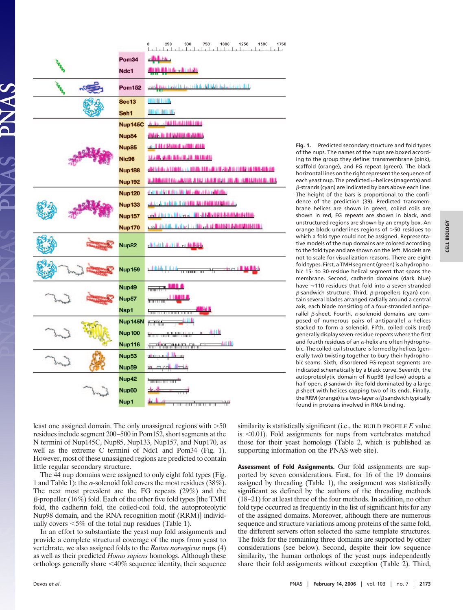|  |                   | 250<br>500<br>750<br>1000<br>1250<br>1500<br>1750                     |  |  |  |  |
|--|-------------------|-----------------------------------------------------------------------|--|--|--|--|
|  | Pom34             | مناباته                                                               |  |  |  |  |
|  | Ndc1              | <b>CHILL God Hall</b>                                                 |  |  |  |  |
|  | <b>Pom152</b>     | onesil, gana tasht ki i hadi ritik ilo didhishti da ba lati ki di kib |  |  |  |  |
|  | <b>Sec13</b>      | <b>OBDINE BJBDB</b>                                                   |  |  |  |  |
|  | Seh1              | <b>ANTOL MOLDAY</b>                                                   |  |  |  |  |
|  | <b>Nup145C</b>    | A Jone HA Handald Land                                                |  |  |  |  |
|  | Nup84             | <b>BAA A DEWAR A JARA</b>                                             |  |  |  |  |
|  | Nup85             | and the blood with the                                                |  |  |  |  |
|  | <b>Nic96</b>      | the Media dilution in the battle                                      |  |  |  |  |
|  | <b>Nup188</b>     | and takes a limited and the fills are maded in mille of the micro-    |  |  |  |  |
|  | <b>Nup192</b>     | 2,120,001 for AUGUST 112 SEAR 050, 10 JB 150151114 D. 115             |  |  |  |  |
|  | <b>Nup120</b>     | distant to militarity and called distantifica-                        |  |  |  |  |
|  | <b>Nup133</b>     | and it raids to refine the contract of the                            |  |  |  |  |
|  | <b>Nup157</b>     | cash dike mulikisha al- iki al-Malia iki da muli ama mula filak       |  |  |  |  |
|  | <b>Nup170</b>     | Long Studell, Halfmal in finition of Chairman Administrator Car-      |  |  |  |  |
|  | Nup82             | district a diff. or district.                                         |  |  |  |  |
|  | <b>Nup159</b>     | <b>TRAILIE AL</b>                                                     |  |  |  |  |
|  | Nup49             | <b>MA</b><br>muntu <sup>n</sup>                                       |  |  |  |  |
|  | Nup57             | imin no no                                                            |  |  |  |  |
|  | Nsp1              |                                                                       |  |  |  |  |
|  | Nup145N           | <del>1. Mill</del>                                                    |  |  |  |  |
|  | <b>Nup100</b>     | ant th<br><b>Kommunistischer Ausgeb</b>                               |  |  |  |  |
|  | <b>Nup116</b>     | <b>Julia</b><br><del>Tanthoma Miller Charles</del>                    |  |  |  |  |
|  | Nup <sub>53</sub> | مصالا المسطنته                                                        |  |  |  |  |
|  | Nup <sub>59</sub> | <del>տ, ուրգի հեշ</del> տ                                             |  |  |  |  |
|  | Nup42             | <b>Formation of the A</b>                                             |  |  |  |  |
|  | Nup60             | $d$ n alt $-$                                                         |  |  |  |  |
|  | Nup1              | data di activo<br>נה חו<br><del>mmmmmm</del>                          |  |  |  |  |

**Fig. 1.** Predicted secondary structure and fold types of the nups. The names of the nups are boxed according to the group they define: transmembrane (pink), scaffold (orange), and FG repeat (green). The black horizontal lines on the right represent the sequence of each yeast nup. The predicted  $\alpha$ -helices (magenta) and  $\beta$ -strands (cyan) are indicated by bars above each line. The height of the bars is proportional to the confidence of the prediction (39). Predicted transmembrane helices are shown in green, coiled coils are shown in red, FG repeats are shown in black, and unstructured regions are shown by an empty box. An orange block underlines regions of  $>$ 50 residues to which a fold type could not be assigned. Representative models of the nup domains are colored according to the fold type and are shown on the left. Models are not to scale for visualization reasons. There are eight fold types. First, a TMH segment (green) is a hydrophobic 15- to 30-residue helical segment that spans the membrane. Second, cadherin domains (dark blue) have  $\approx$ 110 residues that fold into a seven-stranded  $\beta$ -sandwich structure. Third,  $\beta$ -propellers (cyan) contain several blades arranged radially around a central axis, each blade consisting of a four-stranded antiparallel  $\beta$ -sheet. Fourth,  $\alpha$ -solenoid domains are composed of numerous pairs of antiparallel  $\alpha$ -helices stacked to form a solenoid. Fifth, coiled coils (red) generally display seven-residue repeats where the first and fourth residues of an  $\alpha$ -helix are often hydrophobic. The coiled-coil structure is formed by helices (generally two) twisting together to bury their hydrophobic seams. Sixth, disordered FG-repeat segments are indicated schematically by a black curve. Seventh, the autoproteolytic domain of Nup98 (yellow) adopts a half-open,  $\beta$ -sandwich-like fold dominated by a large  $\beta$ -sheet with helices capping two of its ends. Finally, the RRM (orange) is a two-layer  $\alpha/\beta$  sandwich typically found in proteins involved in RNA binding.

least one assigned domain. The only unassigned regions with  $>50$ residues include segment 200–500 in Pom152, short segments at the N termini of Nup145C, Nup85, Nup133, Nup157, and Nup170, as well as the extreme C termini of Ndc1 and Pom34 (Fig. 1). However, most of these unassigned regions are predicted to contain little regular secondary structure.

The 44 nup domains were assigned to only eight fold types (Fig. 1 and Table 1): the  $\alpha$ -solenoid fold covers the most residues (38%). The next most prevalent are the FG repeats (29%) and the  $\beta$ -propeller (16%) fold. Each of the other five fold types [the TMH fold, the cadherin fold, the coiled-coil fold, the autoproteolytic Nup98 domain, and the RNA recognition motif (RRM)] individually covers  $\leq 5\%$  of the total nup residues (Table 1).

In an effort to substantiate the yeast nup fold assignments and provide a complete structural coverage of the nups from yeast to vertebrate, we also assigned folds to the *Rattus norvegicus* nups (4) as well as their predicted *Homo sapiens* homologs. Although these orthologs generally share  $\langle 40\%$  sequence identity, their sequence similarity is statistically significant (i.e., the BUILD PROFILE  $E$  value is  $0.01$ . Fold assignments for nups from vertebrates matched those for their yeast homologs (Table 2, which is published as supporting information on the PNAS web site).

**Assessment of Fold Assignments.** Our fold assignments are supported by seven considerations. First, for 16 of the 19 domains assigned by threading (Table 1), the assignment was statistically significant as defined by the authors of the threading methods (18–21) for at least three of the four methods. In addition, no other fold type occurred as frequently in the list of significant hits for any of the assigned domains. Moreover, although there are numerous sequence and structure variations among proteins of the same fold, the different servers often selected the same template structures. The folds for the remaining three domains are supported by other considerations (see below). Second, despite their low sequence similarity, the human orthologs of the yeast nups independently share their fold assignments without exception (Table 2). Third,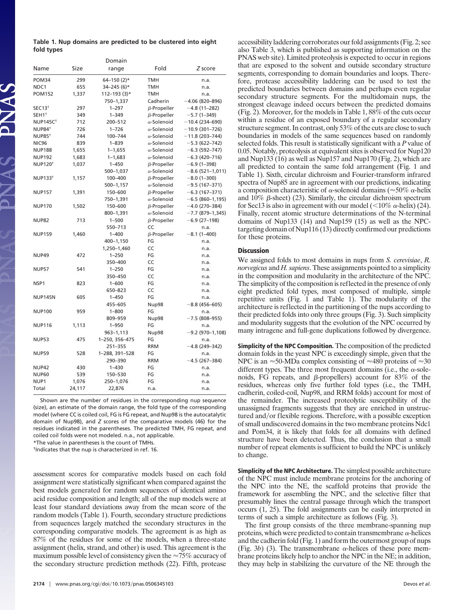|            |  | Table 1. Nup domains are predicted to be clustered into eight |  |  |  |
|------------|--|---------------------------------------------------------------|--|--|--|
| fold types |  |                                                               |  |  |  |

|                            |        | Domain          |                    |                        |  |  |
|----------------------------|--------|-----------------|--------------------|------------------------|--|--|
| Name                       | Size   | range           | Fold               | Z score                |  |  |
| POM34                      | 299    | $64 - 150$ (2)* | <b>TMH</b>         | n.a.                   |  |  |
| NDC1                       | 655    | $34 - 245(6)$ * | <b>TMH</b>         | n.a.                   |  |  |
| <b>POM152</b>              | 1,337  | 112-193 (3)*    | TMH                | n.a.                   |  |  |
|                            |        | 750-1,337       | Cadherin           | $-4.06(820 - 896)$     |  |  |
| SEC13 <sup>†</sup>         | 297    | $1 - 297$       | $\beta$ -Propeller | $-4.8(11-282)$         |  |  |
| SEH1 <sup>+</sup>          | 349    | $1 - 349$       | $\beta$ -Propeller | $-5.7(1-349)$          |  |  |
| <b>NUP145C<sup>+</sup></b> | 712    | 200-512         | $\alpha$ -Solenoid | $-10.4(234 - 690)$     |  |  |
| NUP84 <sup>+</sup>         | 726    | $1 - 726$       | $\alpha$ -Solenoid | $-10.9(301 - 726)$     |  |  |
| <b>NUP85<sup>+</sup></b>   | 744    | 100-744         | $\alpha$ -Solenoid | $-11.8(203 - 744)$     |  |  |
| <b>NIC96</b>               | 839    | $1 - 839$       | $\alpha$ -Solenoid | $-5.3(622-742)$        |  |  |
| <b>NUP188</b>              | 1,655  | $1 - 1,655$     | $\alpha$ -Solenoid | $-6.3(592 - 747)$      |  |  |
| <b>NUP192</b>              | 1,683  | $1 - 1,683$     | $\alpha$ -Solenoid | $-6.3(420 - 716)$      |  |  |
| <b>NUP120<sup>+</sup></b>  | 1,037  | $1 - 450$       | $\beta$ -Propeller | $-6.9(1-398)$          |  |  |
|                            |        | 500-1,037       | $\alpha$ -Solenoid | $-8.6(521-1,011)$      |  |  |
| NUP133 <sup>+</sup>        | 1,157  | 100-400         | $\beta$ -Propeller | $-8.0$ (1-300)         |  |  |
|                            |        | 500-1,157       | $\alpha$ -Solenoid | $-9.5(167-371)$        |  |  |
| <b>NUP157</b>              | 1,391  | 150-600         | $\beta$ -Propeller | $-6.3(167-371)$        |  |  |
|                            |        | 750-1,391       | $\alpha$ -Solenoid | $-6.5(860-1,195)$      |  |  |
| <b>NUP170</b>              | 1,502  | 150-600         | $\beta$ -Propeller | $-4.0$ (270-384)       |  |  |
|                            |        | 800-1,391       | $\alpha$ -Solenoid | $-7.7$ (879-1,345)     |  |  |
| <b>NUP82</b>               | 713    | $1 - 500$       | $\beta$ -Propeller | $-6.9(27-198)$         |  |  |
|                            |        | 550-713         | CC                 | n.a.                   |  |  |
| <b>NUP159</b>              | 1.460  | $1 - 400$       | $\beta$ -Propeller | $-8.1(1 - 400)$        |  |  |
|                            |        | 400-1,150       | FG                 | n.a.                   |  |  |
|                            |        | 1,250-1,460     | CC                 | n.a.                   |  |  |
| <b>NUP49</b>               | 472    | $1 - 250$       | FG                 | n.a.                   |  |  |
|                            |        | 350-400         | CC                 | n.a.                   |  |  |
| <b>NUP57</b>               | 541    | $1 - 250$       | FG                 | n.a.                   |  |  |
|                            |        | 350-450         | CC                 | n.a.                   |  |  |
| NSP <sub>1</sub>           | 823    | $1 - 600$       | FG                 | n.a.                   |  |  |
|                            |        | 650-823         | CC                 | n.a.                   |  |  |
| <b>NUP145N</b>             | 605    | $1 - 450$       | FG                 | n.a.                   |  |  |
|                            |        | 455-605         | Nup98              | $-8.8$ (456-605)       |  |  |
| <b>NUP100</b>              | 959    | $1 - 800$       | FG                 | n.a.                   |  |  |
|                            |        | 809-959         | Nup98              | $-7.5(808-955)$        |  |  |
| <b>NUP116</b>              | 1,113  | $1 - 950$       | FG                 | n.a.                   |  |  |
|                            |        | $963 - 1,113$   | Nup98              | $-9.2$ (970 $-1,108$ ) |  |  |
| <b>NUP53</b>               | 475    | 1-250, 356-475  | FG                 | n.a.                   |  |  |
|                            |        | $251 - 355$     | <b>RRM</b>         | $-4.8(249-342)$        |  |  |
| <b>NUP59</b>               | 528    | 1-288, 391-528  | FG                 | n.a.                   |  |  |
|                            |        | 290-390         | <b>RRM</b>         | $-4.5(267-384)$        |  |  |
| NUP42                      | 430    | $1 - 430$       | FG                 | n.a.                   |  |  |
| <b>NUP60</b>               | 539    | 150-530         | FG                 | n.a.                   |  |  |
| NUP1                       | 1,076  | 250-1,076       | FG                 | n.a.                   |  |  |
| Total                      | 24,117 | 22,876          | n.a.               | n.a.                   |  |  |
|                            |        |                 |                    |                        |  |  |

Shown are the number of residues in the corresponding nup sequence (size), an estimate of the domain range, the fold type of the corresponding model (where CC is coiled coil, FG is FG repeat, and Nup98 is the autocatalytic domain of Nup98), and *Z* scores of the comparative models (46) for the residues indicated in the parentheses. The predicted TMH, FG repeat, and coiled coil folds were not modeled. n.a., not applicable.

\*The value in parentheses is the count of TMHs.

†Indicates that the nup is characterized in ref. 16.

assessment scores for comparative models based on each fold assignment were statistically significant when compared against the best models generated for random sequences of identical amino acid residue composition and length; all of the nup models were at least four standard deviations away from the mean score of the random models (Table 1). Fourth, secondary structure predictions from sequences largely matched the secondary structures in the corresponding comparative models. The agreement is as high as 87% of the residues for some of the models, when a three-state assignment (helix, strand, and other) is used. This agreement is the maximum possible level of consistency given the  $\approx 75\%$  accuracy of the secondary structure prediction methods (22). Fifth, protease

accessibility laddering corroborates our fold assignments (Fig. 2; see also Table 3, which is published as supporting information on the PNAS web site). Limited proteolysis is expected to occur in regions that are exposed to the solvent and outside secondary structure segments, corresponding to domain boundaries and loops. Therefore, protease accessibility laddering can be used to test the predicted boundaries between domains and perhaps even regular secondary structure segments. For the multidomain nups, the strongest cleavage indeed occurs between the predicted domains (Fig. 2). Moreover, for the models in Table 1, 88% of the cuts occur within a residue of an exposed boundary of a regular secondary structure segment. In contrast, only 53% of the cuts are close to such boundaries in models of the same sequences based on randomly selected folds. This result is statistically significant with a *P* value of 0.05. Notably, proteolysis at equivalent sites is observed for Nup120 and Nup133 (16) as well as Nup157 and Nup170 (Fig. 2), which are all predicted to contain the same fold arrangement (Fig. 1 and Table 1). Sixth, circular dichroism and Fourier-transform infrared spectra of Nup85 are in agreement with our predictions, indicating a composition characteristic of  $\alpha$ -solenoid domains ( $\approx$ 50%  $\alpha$ -helix and  $10\%$   $\beta$ -sheet) (23). Similarly, the circular dichroism spectrum for Sec13 is also in agreement with our model ( $\langle 10\% \alpha$ -helix) (24). Finally, recent atomic structure determinations of the N-terminal domains of Nup133 (14) and Nup159 (15) as well as the NPCtargeting domain of Nup116 (13) directly confirmed our predictions for these proteins.

## **Discussion**

We assigned folds to most domains in nups from *S. cerevisiae*, *R. norvegicus* and *H. sapiens*. These assignments pointed to a simplicity in the composition and modularity in the architecture of the NPC. The simplicity of the composition is reflected in the presence of only eight predicted fold types, most composed of multiple, simple repetitive units (Fig. 1 and Table 1). The modularity of the architecture is reflected in the partitioning of the nups according to their predicted folds into only three groups (Fig. 3). Such simplicity and modularity suggests that the evolution of the NPC occurred by many intragene and full-gene duplications followed by divergence.

**Simplicity of the NPC Composition.** The composition of the predicted domain folds in the yeast NPC is exceedingly simple, given that the NPC is an  $\approx$ 50-MDa complex consisting of  $\approx$ 480 proteins of  $\approx$ 30 different types. The three most frequent domains (i.e., the  $\alpha$ -solenoids, FG repeats, and  $\beta$ -propellers) account for 83% of the residues, whereas only five further fold types (i.e., the TMH, cadherin, coiled-coil, Nup98, and RRM folds) account for most of the remainder. The increased proteolytic susceptibility of the unassigned fragments suggests that they are enriched in unstructured and/or flexible regions. Therefore, with a possible exception of small undiscovered domains in the two membrane proteins Ndc1 and Pom34, it is likely that folds for all domains with defined structure have been detected. Thus, the conclusion that a small number of repeat elements is sufficient to build the NPC is unlikely to change.

**Simplicity of the NPC Architecture.** The simplest possible architecture of the NPC must include membrane proteins for the anchoring of the NPC into the NE, the scaffold proteins that provide the framework for assembling the NPC, and the selective filter that presumably lines the central passage through which the transport occurs (1, 25). The fold assignments can be easily interpreted in terms of such a simple architecture as follows (Fig. 3).

The first group consists of the three membrane-spanning nup proteins, which were predicted to contain transmembrane  $\alpha$ -helices and the cadherin fold (Fig. 1) and form the outermost group of nups (Fig. 3*b*) (3). The transmembrane  $\alpha$ -helices of these pore membrane proteins likely help to anchor the NPC in the NE; in addition, they may help in stabilizing the curvature of the NE through the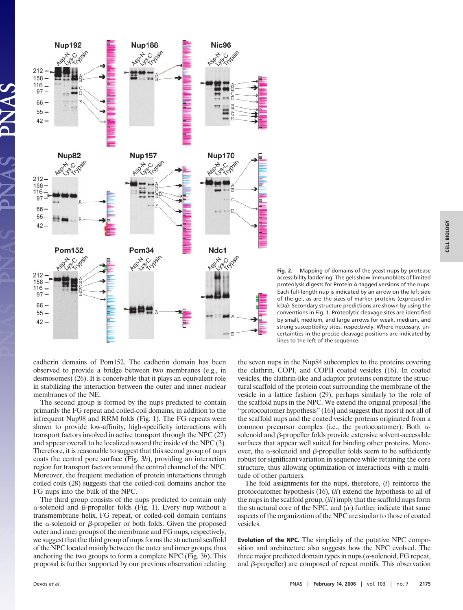

**Fig. 2.** Mapping of domains of the yeast nups by protease accessibility laddering. The gels show immunoblots of limited proteolysis digests for Protein A-tagged versions of the nups. Each full-length nup is indicated by an arrow on the left side of the gel, as are the sizes of marker proteins (expressed in kDa). Secondary structure predictions are shown by using the conventions in Fig. 1. Proteolytic cleavage sites are identified by small, medium, and large arrows for weak, medium, and strong susceptibility sites, respectively. Where necessary, uncertainties in the precise cleavage positions are indicated by lines to the left of the sequence.

cadherin domains of Pom152. The cadherin domain has been observed to provide a bridge between two membranes (e.g., in desmosomes) (26). It is conceivable that it plays an equivalent role in stabilizing the interaction between the outer and inner nuclear membranes of the NE.

The second group is formed by the nups predicted to contain primarily the FG repeat and coiled-coil domains, in addition to the infrequent Nup98 and RRM folds (Fig. 1). The FG repeats were shown to provide low-affinity, high-specificity interactions with transport factors involved in active transport through the NPC (27) and appear overall to be localized toward the inside of the NPC (3). Therefore, it is reasonable to suggest that this second group of nups coats the central pore surface (Fig. 3*b*), providing an interaction region for transport factors around the central channel of the NPC. Moreover, the frequent mediation of protein interactions through coiled coils (28) suggests that the coiled-coil domains anchor the FG nups into the bulk of the NPC.

The third group consists of the nups predicted to contain only  $\alpha$ -solenoid and  $\beta$ -propeller folds (Fig. 1). Every nup without a transmembrane helix, FG repeat, or coiled-coil domain contains the  $\alpha$ -solenoid or  $\beta$ -propeller or both folds. Given the proposed outer and inner groups of the membrane and FG nups, respectively, we suggest that the third group of nups forms the structural scaffold of the NPC located mainly between the outer and inner groups, thus anchoring the two groups to form a complete NPC (Fig. 3*b*). This proposal is further supported by our previous observation relating the seven nups in the Nup84 subcomplex to the proteins covering the clathrin, COPI, and COPII coated vesicles (16). In coated vesicles, the clathrin-like and adaptor proteins constitute the structural scaffold of the protein coat surrounding the membrane of the vesicle in a lattice fashion (29), perhaps similarly to the role of the scaffold nups in the NPC. We extend the original proposal [the ''protocoatomer hypothesis'' (16)] and suggest that most if not all of the scaffold nups and the coated vesicle proteins originated from a common precursor complex (i.e., the protocoatomer). Both  $\alpha$ solenoid and  $\beta$ -propeller folds provide extensive solvent-accessible surfaces that appear well suited for binding other proteins. Moreover, the  $\alpha$ -solenoid and  $\beta$ -propeller folds seem to be sufficiently robust for significant variation in sequence while retaining the core structure, thus allowing optimization of interactions with a multitude of other partners.

The fold assignments for the nups, therefore, (*i*) reinforce the protocoatomer hypothesis (16), (*ii*) extend the hypothesis to all of the nups in the scaffold group, (*iii*) imply that the scaffold nups form the structural core of the NPC, and (*iv*) further indicate that same aspects of the organization of the NPC are similar to those of coated vesicles.

**Evolution of the NPC.** The simplicity of the putative NPC composition and architecture also suggests how the NPC evolved. The three major predicted domain types in nups ( $\alpha$ -solenoid, FG repeat, and  $\beta$ -propeller) are composed of repeat motifs. This observation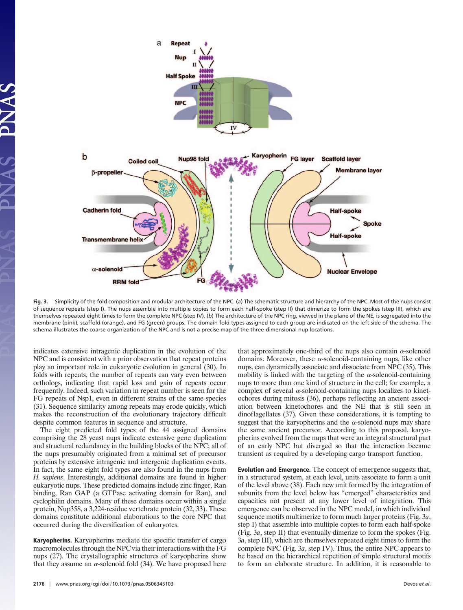

**Fig. 3.** Simplicity of the fold composition and modular architecture of the NPC. (*a*) The schematic structure and hierarchy of the NPC. Most of the nups consist of sequence repeats (step I). The nups assemble into multiple copies to form each half-spoke (step II) that dimerize to form the spokes (step III), which are themselves repeated eight times to form the complete NPC (step IV). (*b*) The architecture of the NPC ring, viewed in the plane of the NE, is segregated into the membrane (pink), scaffold (orange), and FG (green) groups. The domain fold types assigned to each group are indicated on the left side of the schema. The schema illustrates the coarse organization of the NPC and is not a precise map of the three-dimensional nup locations.

indicates extensive intragenic duplication in the evolution of the NPC and is consistent with a prior observation that repeat proteins play an important role in eukaryotic evolution in general (30). In folds with repeats, the number of repeats can vary even between orthologs, indicating that rapid loss and gain of repeats occur frequently. Indeed, such variation in repeat number is seen for the FG repeats of Nsp1, even in different strains of the same species (31). Sequence similarity among repeats may erode quickly, which makes the reconstruction of the evolutionary trajectory difficult despite common features in sequence and structure.

The eight predicted fold types of the 44 assigned domains comprising the 28 yeast nups indicate extensive gene duplication and structural redundancy in the building blocks of the NPC; all of the nups presumably originated from a minimal set of precursor proteins by extensive intragenic and intergenic duplication events. In fact, the same eight fold types are also found in the nups from *H. sapiens*. Interestingly, additional domains are found in higher eukaryotic nups. These predicted domains include zinc finger, Ran binding, Ran GAP (a GTPase activating domain for Ran), and cyclophilin domains. Many of these domains occur within a single protein, Nup358, a 3,224-residue vertebrate protein (32, 33). These domains constitute additional elaborations to the core NPC that occurred during the diversification of eukaryotes.

**Karyopherins.** Karyopherins mediate the specific transfer of cargo macromolecules through the NPC via their interactions with the FG nups (27). The crystallographic structures of karyopherins show that they assume an  $\alpha$ -solenoid fold (34). We have proposed here that approximately one-third of the nups also contain  $\alpha$ -solenoid domains. Moreover, these  $\alpha$ -solenoid-containing nups, like other nups, can dynamically associate and dissociate from NPC (35). This mobility is linked with the targeting of the  $\alpha$ -solenoid-containing nups to more than one kind of structure in the cell; for example, a complex of several  $\alpha$ -solenoid-containing nups localizes to kinetochores during mitosis (36), perhaps reflecting an ancient association between kinetochores and the NE that is still seen in dinoflagellates (37). Given these considerations, it is tempting to suggest that the karyopherins and the  $\alpha$ -solenoid nups may share the same ancient precursor. According to this proposal, karyopherins evolved from the nups that were an integral structural part of an early NPC but diverged so that the interaction became transient as required by a developing cargo transport function.

**Evolution and Emergence.** The concept of emergence suggests that, in a structured system, at each level, units associate to form a unit of the level above (38). Each new unit formed by the integration of subunits from the level below has ''emerged'' characteristics and capacities not present at any lower level of integration. This emergence can be observed in the NPC model, in which individual sequence motifs multimerize to form much larger proteins (Fig. 3*a*, step I) that assemble into multiple copies to form each half-spoke (Fig. 3*a*, step II) that eventually dimerize to form the spokes (Fig. 3*a*, step III), which are themselves repeated eight times to form the complete NPC (Fig. 3*a*, step IV). Thus, the entire NPC appears to be based on the hierarchical repetition of simple structural motifs to form an elaborate structure. In addition, it is reasonable to